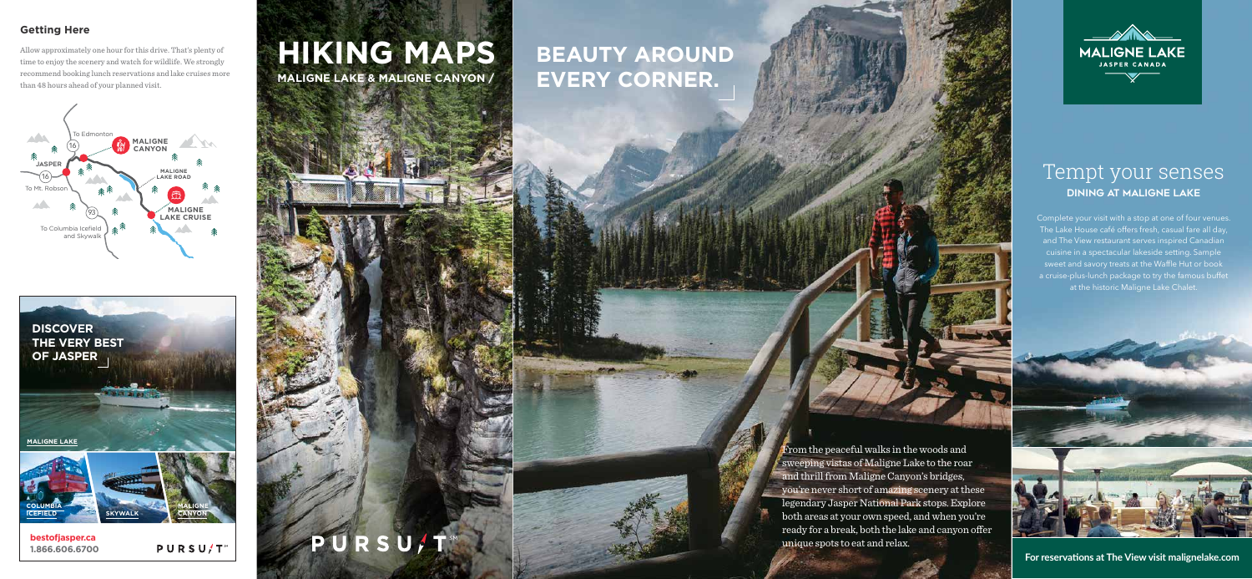### **Getting Here**

Allow approximately one hour for this drive. That's plenty of time to enjoy the scenery and watch for wildlife. We strongly recommend booking lunch reservations and lake cruises more than 48 hours ahead of your planned visit.



**bestofjasper.ca 1.866.606.6700**

**PURSU/T** 



# **BEAUTY AROUND EVERY CORNER.**

PURSU/T





From the peaceful walks in the woods and sweeping vistas of Maligne Lake to the roar and thrill from Maligne Canyon's bridges, you're never short of amazing scenery at these legendary Jasper National Park stops. Explore both areas at your own speed, and when you're ready for a break, both the lake and canyon offer unique spots to eat and relax.



## **HIKING MAPS MALIGNE LAKE & MALIGNE CANYON /**

### Tempt your senses **Dining at Maligne Lake**

Complete your visit with a stop at one of four venues. The Lake House café offers fresh, casual fare all day, and The View restaurant serves inspired Canadian cuisine in a spectacular lakeside setting. Sample sweet and savory treats at the Waffle Hut or book a cruise-plus-lunch package to try the famous buffet at the historic Maligne Lake Chalet.

**For reservations at The View visit malignelake.com**